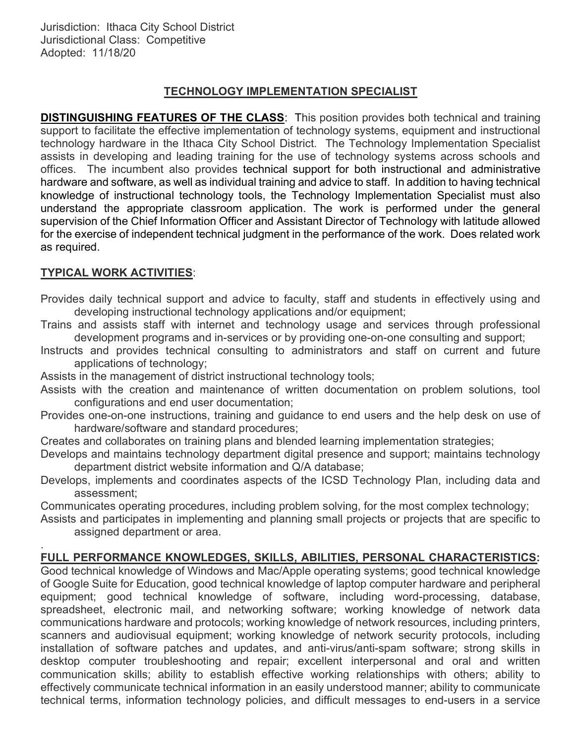# TECHNOLOGY IMPLEMENTATION SPECIALIST

**DISTINGUISHING FEATURES OF THE CLASS:** This position provides both technical and training support to facilitate the effective implementation of technology systems, equipment and instructional technology hardware in the Ithaca City School District. The Technology Implementation Specialist assists in developing and leading training for the use of technology systems across schools and offices. The incumbent also provides technical support for both instructional and administrative hardware and software, as well as individual training and advice to staff. In addition to having technical knowledge of instructional technology tools, the Technology Implementation Specialist must also understand the appropriate classroom application. The work is performed under the general supervision of the Chief Information Officer and Assistant Director of Technology with latitude allowed for the exercise of independent technical judgment in the performance of the work. Does related work as required.

# TYPICAL WORK ACTIVITIES:

Provides daily technical support and advice to faculty, staff and students in effectively using and developing instructional technology applications and/or equipment;

- Trains and assists staff with internet and technology usage and services through professional development programs and in-services or by providing one-on-one consulting and support;
- Instructs and provides technical consulting to administrators and staff on current and future applications of technology;

Assists in the management of district instructional technology tools;

- Assists with the creation and maintenance of written documentation on problem solutions, tool configurations and end user documentation;
- Provides one-on-one instructions, training and guidance to end users and the help desk on use of hardware/software and standard procedures;
- Creates and collaborates on training plans and blended learning implementation strategies;
- Develops and maintains technology department digital presence and support; maintains technology department district website information and Q/A database;
- Develops, implements and coordinates aspects of the ICSD Technology Plan, including data and assessment;

Communicates operating procedures, including problem solving, for the most complex technology;

Assists and participates in implementing and planning small projects or projects that are specific to assigned department or area.

#### . FULL PERFORMANCE KNOWLEDGES, SKILLS, ABILITIES, PERSONAL CHARACTERISTICS:

Good technical knowledge of Windows and Mac/Apple operating systems; good technical knowledge of Google Suite for Education, good technical knowledge of laptop computer hardware and peripheral equipment; good technical knowledge of software, including word-processing, database, spreadsheet, electronic mail, and networking software; working knowledge of network data communications hardware and protocols; working knowledge of network resources, including printers, scanners and audiovisual equipment; working knowledge of network security protocols, including installation of software patches and updates, and anti-virus/anti-spam software; strong skills in desktop computer troubleshooting and repair; excellent interpersonal and oral and written communication skills; ability to establish effective working relationships with others; ability to effectively communicate technical information in an easily understood manner; ability to communicate technical terms, information technology policies, and difficult messages to end-users in a service